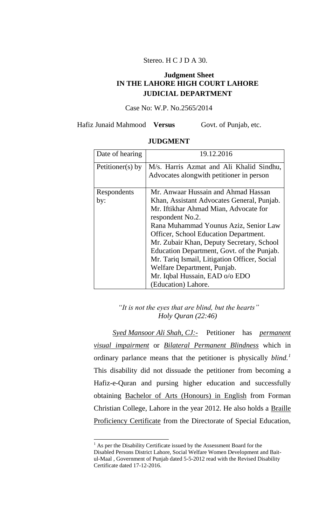# Stereo. H C J D A 30.

# **Judgment Sheet IN THE LAHORE HIGH COURT LAHORE JUDICIAL DEPARTMENT**

Case No: W.P. No.2565/2014

Hafiz Junaid Mahmood **Versus** Govt. of Punjab, etc.

| Date of hearing    | 19.12.2016                                                                                                                                                                                                                                                                                                                                                                                                                                                                 |
|--------------------|----------------------------------------------------------------------------------------------------------------------------------------------------------------------------------------------------------------------------------------------------------------------------------------------------------------------------------------------------------------------------------------------------------------------------------------------------------------------------|
| Petitioner(s) by   | M/s. Harris Azmat and Ali Khalid Sindhu,<br>Advocates alongwith petitioner in person                                                                                                                                                                                                                                                                                                                                                                                       |
| Respondents<br>by: | Mr. Anwaar Hussain and Ahmad Hassan<br>Khan, Assistant Advocates General, Punjab.<br>Mr. Iftikhar Ahmad Mian, Advocate for<br>respondent No.2.<br>Rana Muhammad Younus Aziz, Senior Law<br><b>Officer, School Education Department.</b><br>Mr. Zubair Khan, Deputy Secretary, School<br>Education Department, Govt. of the Punjab.<br>Mr. Tariq Ismail, Litigation Officer, Social<br>Welfare Department, Punjab.<br>Mr. Iqbal Hussain, EAD o/o EDO<br>(Education) Lahore. |

### **JUDGMENT**

*"It is not the eyes that are blind, but the hearts" Holy Quran (22:46)*

*Syed Mansoor Ali Shah, CJ:-* Petitioner has *permanent visual impairment* or *Bilateral Permanent Blindness* which in ordinary parlance means that the petitioner is physically *blind. 1* This disability did not dissuade the petitioner from becoming a Hafiz-e-Quran and pursing higher education and successfully obtaining Bachelor of Arts (Honours) in English from Forman Christian College, Lahore in the year 2012. He also holds a Braille Proficiency Certificate from the Directorate of Special Education,

 $<sup>1</sup>$  As per the Disability Certificate issued by the Assessment Board for the</sup> Disabled Persons District Lahore, Social Welfare Women Development and Baitul-Maal , Government of Punjab dated 5-5-2012 read with the Revised Disability Certificate dated 17-12-2016.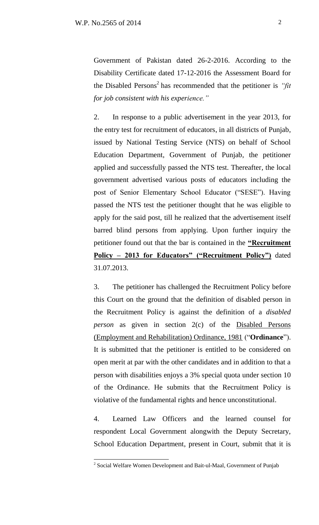Government of Pakistan dated 26-2-2016. According to the Disability Certificate dated 17-12-2016 the Assessment Board for the Disabled Persons 2 has recommended that the petitioner is *"fit for job consistent with his experience."* 

2. In response to a public advertisement in the year 2013, for the entry test for recruitment of educators, in all districts of Punjab, issued by National Testing Service (NTS) on behalf of School Education Department, Government of Punjab, the petitioner applied and successfully passed the NTS test. Thereafter, the local government advertised various posts of educators including the post of Senior Elementary School Educator ("SESE"). Having passed the NTS test the petitioner thought that he was eligible to apply for the said post, till he realized that the advertisement itself barred blind persons from applying. Upon further inquiry the petitioner found out that the bar is contained in the **"Recruitment Policy – 2013 for Educators" ("Recruitment Policy")** dated 31.07.2013.

3. The petitioner has challenged the Recruitment Policy before this Court on the ground that the definition of disabled person in the Recruitment Policy is against the definition of a *disabled person* as given in section 2(c) of the Disabled Persons (Employment and Rehabilitation) Ordinance, 1981 ("**Ordinance**"). It is submitted that the petitioner is entitled to be considered on open merit at par with the other candidates and in addition to that a person with disabilities enjoys a 3% special quota under section 10 of the Ordinance. He submits that the Recruitment Policy is violative of the fundamental rights and hence unconstitutional.

4. Learned Law Officers and the learned counsel for respondent Local Government alongwith the Deputy Secretary, School Education Department, present in Court, submit that it is

 2 Social Welfare Women Development and Bait-ul-Maal, Government of Punjab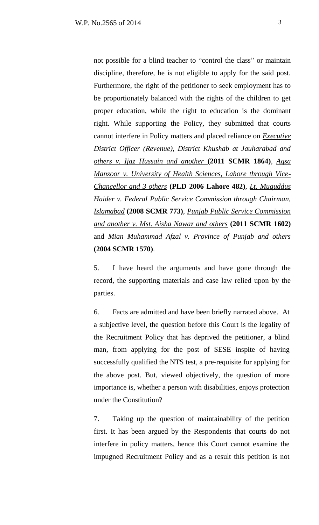not possible for a blind teacher to "control the class" or maintain discipline, therefore, he is not eligible to apply for the said post. Furthermore, the right of the petitioner to seek employment has to be proportionately balanced with the rights of the children to get proper education, while the right to education is the dominant right. While supporting the Policy, they submitted that courts cannot interfere in Policy matters and placed reliance on *Executive District Officer (Revenue), District Khushab at Jauharabad and others v. Ijaz Hussain and another* **(2011 SCMR 1864)**, *Aqsa Manzoor v. University of Health Sciences, Lahore through Vice-Chancellor and 3 others* **(PLD 2006 Lahore 482)**, *Lt. Muquddus Haider v. Federal Public Service Commission through Chairman, Islamabad* **(2008 SCMR 773)**, *Punjab Public Service Commission and another v. Mst. Aisha Nawaz and others* **(2011 SCMR 1602)** and *Mian Muhammad Afzal v. Province of Punjab and others* **(2004 SCMR 1570)**.

5. I have heard the arguments and have gone through the record, the supporting materials and case law relied upon by the parties.

6. Facts are admitted and have been briefly narrated above. At a subjective level, the question before this Court is the legality of the Recruitment Policy that has deprived the petitioner, a blind man, from applying for the post of SESE inspite of having successfully qualified the NTS test, a pre-requisite for applying for the above post. But, viewed objectively, the question of more importance is, whether a person with disabilities, enjoys protection under the Constitution?

7. Taking up the question of maintainability of the petition first. It has been argued by the Respondents that courts do not interfere in policy matters, hence this Court cannot examine the impugned Recruitment Policy and as a result this petition is not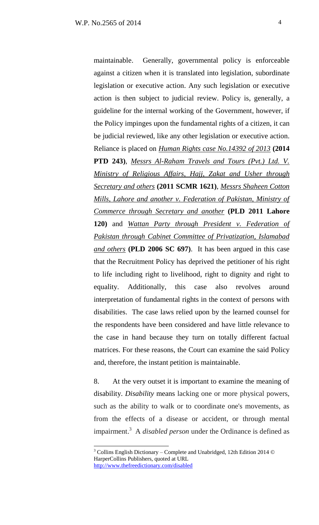maintainable. Generally, governmental policy is enforceable against a citizen when it is translated into legislation, subordinate legislation or executive action. Any such legislation or executive action is then subject to judicial review. Policy is, generally, a guideline for the internal working of the Government, however, if the Policy impinges upon the fundamental rights of a citizen, it can be judicial reviewed, like any other legislation or executive action. Reliance is placed on *Human Rights case No.14392 of 2013* **(2014 PTD 243)**, *Messrs Al-Raham Travels and Tours (Pvt.) Ltd. V. Ministry of Religious Affairs, Hajj, Zakat and Usher through Secretary and others* **(2011 SCMR 1621)**, *Messrs Shaheen Cotton Mills, Lahore and another v. Federation of Pakistan, Ministry of Commerce through Secretary and another* **(PLD 2011 Lahore 120)** and *Wattan Party through President v. Federation of Pakistan through Cabinet Committee of Privatization, Islamabad and others* **(PLD 2006 SC 697)**. It has been argued in this case that the Recruitment Policy has deprived the petitioner of his right to life including right to livelihood, right to dignity and right to equality. Additionally, this case also revolves around interpretation of fundamental rights in the context of persons with disabilities. The case laws relied upon by the learned counsel for the respondents have been considered and have little relevance to the case in hand because they turn on totally different factual matrices. For these reasons, the Court can examine the said Policy and, therefore, the instant petition is maintainable.

8. At the very outset it is important to examine the meaning of disability. *Disability* means lacking one or more physical powers, such as the ability to walk or to coordinate one's movements, as from the effects of a disease or accident, or through mental impairment. <sup>3</sup> A *disabled person* under the Ordinance is defined as

 $3$  Collins English Dictionary – Complete and Unabridged, 12th Edition 2014  $\odot$ HarperCollins Publishers, quoted at URL <http://www.thefreedictionary.com/disabled>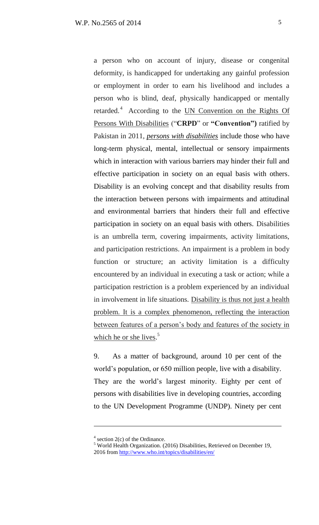a person who on account of injury, disease or congenital deformity, is handicapped for undertaking any gainful profession or employment in order to earn his livelihood and includes a person who is blind, deaf, physically handicapped or mentally retarded.<sup>4</sup> According to the UN Convention on the Rights Of Persons With Disabilities ("**CRPD**" or **"Convention")** ratified by Pakistan in 2011, *persons with disabilities* include those who have long-term physical, mental, intellectual or sensory impairments which in interaction with various barriers may hinder their full and effective participation in society on an equal basis with others. Disability is an evolving concept and that disability results from the interaction between persons with impairments and attitudinal and environmental barriers that hinders their full and effective participation in society on an equal basis with others. Disabilities is an umbrella term, covering impairments, activity limitations, and participation restrictions. An impairment is a problem in body function or structure; an activity limitation is a difficulty encountered by an individual in executing a task or action; while a participation restriction is a problem experienced by an individual in involvement in life situations. Disability is thus not just a health problem. It is a complex phenomenon, reflecting the interaction between features of a person's body and features of the society in which he or she lives.<sup>5</sup>

9. As a matter of background, around 10 per cent of the world's population, or 650 million people, live with a disability. They are the world's largest minority. Eighty per cent of persons with disabilities live in developing countries, according to the UN Development Programme (UNDP). Ninety per cent

 $4$  section 2(c) of the Ordinance.

<sup>5</sup> [World Health Organization.](https://en.wikipedia.org/wiki/World_Health_Organization) (2016) Disabilities, Retrieved on December 19, 2016 from<http://www.who.int/topics/disabilities/en/>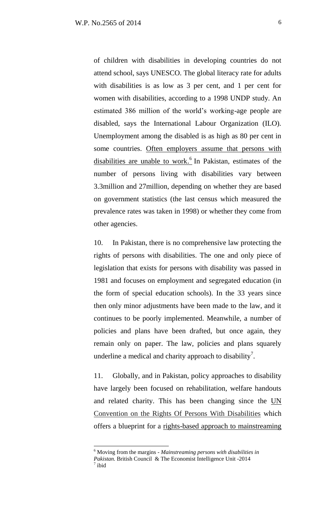of children with disabilities in developing countries do not attend school, says UNESCO. The global literacy rate for adults with disabilities is as low as 3 per cent, and 1 per cent for women with disabilities, according to a 1998 UNDP study. An estimated 386 million of the world's working-age people are disabled, says the International Labour Organization (ILO). Unemployment among the disabled is as high as 80 per cent in some countries. Often employers assume that persons with disabilities are unable to work.<sup>6</sup> In Pakistan, estimates of the number of persons living with disabilities vary between 3.3million and 27million, depending on whether they are based on government statistics (the last census which measured the prevalence rates was taken in 1998) or whether they come from other agencies.

10. In Pakistan, there is no comprehensive law protecting the rights of persons with disabilities. The one and only piece of legislation that exists for persons with disability was passed in 1981 and focuses on employment and segregated education (in the form of special education schools). In the 33 years since then only minor adjustments have been made to the law, and it continues to be poorly implemented. Meanwhile, a number of policies and plans have been drafted, but once again, they remain only on paper. The law, policies and plans squarely underline a medical and charity approach to disability<sup>7</sup>.

11. Globally, and in Pakistan, policy approaches to disability have largely been focused on rehabilitation, welfare handouts and related charity. This has been changing since the UN Convention on the Rights Of Persons With Disabilities which offers a blueprint for a rights-based approach to mainstreaming

<sup>6</sup> Moving from the margins - *Mainstreaming persons with disabilities in* 

Pakistan. British Council & The Economist Intelligence Unit -2014<sup>7</sup> ibid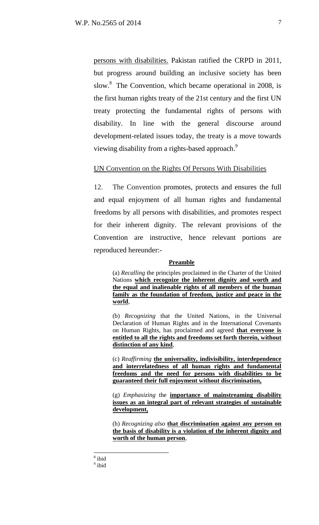persons with disabilities. Pakistan ratified the CRPD in 2011, but progress around building an inclusive society has been slow.<sup>8</sup> The Convention, which became operational in 2008, is the first human rights treaty of the 21st century and the first UN treaty protecting the fundamental rights of persons with disability. In line with the general discourse around development-related issues today, the treaty is a move towards viewing disability from a rights-based approach.<sup>9</sup>

### UN Convention on the Rights Of Persons With Disabilities

12. The Convention promotes, protects and ensures the full and equal enjoyment of all human rights and fundamental freedoms by all persons with disabilities, and promotes respect for their inherent dignity. The relevant provisions of the Convention are instructive, hence relevant portions are reproduced hereunder:-

#### **Preamble**

(a) *Recalling* the principles proclaimed in the Charter of the United Nations **which recognize the inherent dignity and worth and the equal and inalienable rights of all members of the human family as the foundation of freedom, justice and peace in the world**,

(b) *Recognizing* that the United Nations, in the Universal Declaration of Human Rights and in the International Covenants on Human Rights, has proclaimed and agreed **that everyone is entitled to all the rights and freedoms set forth therein, without distinction of any kind**,

(c) *Reaffirming* **the universality, indivisibility, interdependence and interrelatedness of all human rights and fundamental freedoms and the need for persons with disabilities to be guaranteed their full enjoyment without discrimination,**

(g) *Emphasizing* the **importance of mainstreaming disability issues as an integral part of relevant strategies of sustainable development,**

(h) *Recognizing also* **that discrimination against any person on the basis of disability is a violation of the inherent dignity and worth of the human person**,

 $\overline{a}$ 8 ibid

<sup>&</sup>lt;sup>9</sup> ibid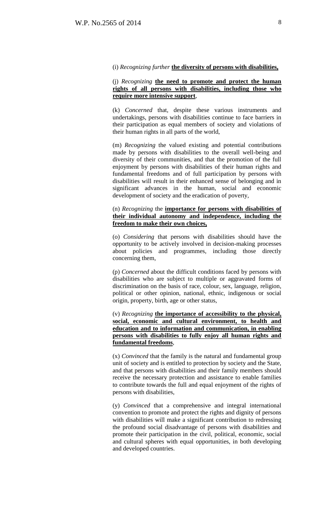### (i) *Recognizing further* **the diversity of persons with disabilities,**

#### (j) *Recognizing* **the need to promote and protect the human rights of all persons with disabilities, including those who require more intensive support**,

(k) *Concerned* that, despite these various instruments and undertakings, persons with disabilities continue to face barriers in their participation as equal members of society and violations of their human rights in all parts of the world,

(m) *Recognizing* the valued existing and potential contributions made by persons with disabilities to the overall well-being and diversity of their communities, and that the promotion of the full enjoyment by persons with disabilities of their human rights and fundamental freedoms and of full participation by persons with disabilities will result in their enhanced sense of belonging and in significant advances in the human, social and economic development of society and the eradication of poverty,

(n) *Recognizing* the **importance for persons with disabilities of their individual autonomy and independence, including the freedom to make their own choices,**

(o) *Considering* that persons with disabilities should have the opportunity to be actively involved in decision-making processes about policies and programmes, including those directly concerning them,

(p) *Concerned* about the difficult conditions faced by persons with disabilities who are subject to multiple or aggravated forms of discrimination on the basis of race, colour, sex, language, religion, political or other opinion, national, ethnic, indigenous or social origin, property, birth, age or other status,

(v) *Recognizing* **the importance of accessibility to the physical, social, economic and cultural environment, to health and education and to information and communication, in enabling persons with disabilities to fully enjoy all human rights and fundamental freedoms**,

(x) *Convinced* that the family is the natural and fundamental group unit of society and is entitled to protection by society and the State, and that persons with disabilities and their family members should receive the necessary protection and assistance to enable families to contribute towards the full and equal enjoyment of the rights of persons with disabilities,

(y) *Convinced* that a comprehensive and integral international convention to promote and protect the rights and dignity of persons with disabilities will make a significant contribution to redressing the profound social disadvantage of persons with disabilities and promote their participation in the civil, political, economic, social and cultural spheres with equal opportunities, in both developing and developed countries.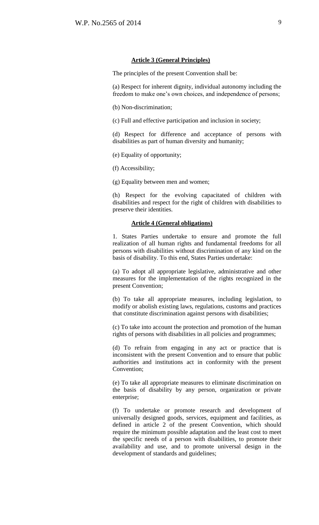#### **Article 3 (General Principles)**

The principles of the present Convention shall be:

(a) Respect for inherent dignity, individual autonomy including the freedom to make one's own choices, and independence of persons;

(b) Non-discrimination;

(c) Full and effective participation and inclusion in society;

(d) Respect for difference and acceptance of persons with disabilities as part of human diversity and humanity;

(e) Equality of opportunity;

(f) Accessibility;

(g) Equality between men and women;

(h) Respect for the evolving capacitated of children with disabilities and respect for the right of children with disabilities to preserve their identities.

### **Article 4 (General obligations)**

1. States Parties undertake to ensure and promote the full realization of all human rights and fundamental freedoms for all persons with disabilities without discrimination of any kind on the basis of disability. To this end, States Parties undertake:

(a) To adopt all appropriate legislative, administrative and other measures for the implementation of the rights recognized in the present Convention;

(b) To take all appropriate measures, including legislation, to modify or abolish existing laws, regulations, customs and practices that constitute discrimination against persons with disabilities;

(c) To take into account the protection and promotion of the human rights of persons with disabilities in all policies and programmes;

(d) To refrain from engaging in any act or practice that is inconsistent with the present Convention and to ensure that public authorities and institutions act in conformity with the present Convention;

(e) To take all appropriate measures to eliminate discrimination on the basis of disability by any person, organization or private enterprise;

(f) To undertake or promote research and development of universally designed goods, services, equipment and facilities, as defined in article 2 of the present Convention, which should require the minimum possible adaptation and the least cost to meet the specific needs of a person with disabilities, to promote their availability and use, and to promote universal design in the development of standards and guidelines;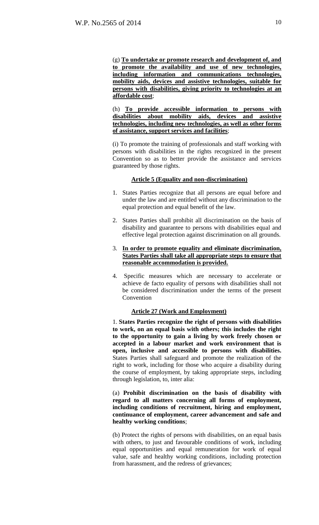(g) **To undertake or promote research and development of, and to promote the availability and use of new technologies, including information and communications technologies, mobility aids, devices and assistive technologies, suitable for persons with disabilities, giving priority to technologies at an affordable cost**;

(h) **To provide accessible information to persons with disabilities about mobility aids, devices and assistive technologies, including new technologies, as well as other forms of assistance, support services and facilities**;

(i) To promote the training of professionals and staff working with persons with disabilities in the rights recognized in the present Convention so as to better provide the assistance and services guaranteed by those rights.

#### **Article 5 (Equality and non-discrimination)**

- 1. States Parties recognize that all persons are equal before and under the law and are entitled without any discrimination to the equal protection and equal benefit of the law.
- 2. States Parties shall prohibit all discrimination on the basis of disability and guarantee to persons with disabilities equal and effective legal protection against discrimination on all grounds.

### 3. **In order to promote equality and eliminate discrimination, States Parties shall take all appropriate steps to ensure that reasonable accommodation is provided.**

4. Specific measures which are necessary to accelerate or achieve de facto equality of persons with disabilities shall not be considered discrimination under the terms of the present **Convention** 

#### **Article 27 (Work and Employment)**

1. **States Parties recognize the right of persons with disabilities to work, on an equal basis with others; this includes the right to the opportunity to gain a living by work freely chosen or accepted in a labour market and work environment that is open, inclusive and accessible to persons with disabilities.** States Parties shall safeguard and promote the realization of the right to work, including for those who acquire a disability during the course of employment, by taking appropriate steps, including through legislation, to, inter alia:

(a) **Prohibit discrimination on the basis of disability with regard to all matters concerning all forms of employment, including conditions of recruitment, hiring and employment, continuance of employment, career advancement and safe and healthy working conditions**;

(b) Protect the rights of persons with disabilities, on an equal basis with others, to just and favourable conditions of work, including equal opportunities and equal remuneration for work of equal value, safe and healthy working conditions, including protection from harassment, and the redress of grievances;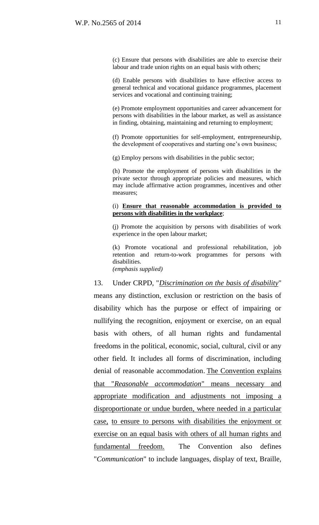(c) Ensure that persons with disabilities are able to exercise their labour and trade union rights on an equal basis with others;

(d) Enable persons with disabilities to have effective access to general technical and vocational guidance programmes, placement services and vocational and continuing training;

(e) Promote employment opportunities and career advancement for persons with disabilities in the labour market, as well as assistance in finding, obtaining, maintaining and returning to employment;

(f) Promote opportunities for self-employment, entrepreneurship, the development of cooperatives and starting one's own business;

(g) Employ persons with disabilities in the public sector;

(h) Promote the employment of persons with disabilities in the private sector through appropriate policies and measures, which may include affirmative action programmes, incentives and other measures;

#### (i) **Ensure that reasonable accommodation is provided to persons with disabilities in the workplace**;

(j) Promote the acquisition by persons with disabilities of work experience in the open labour market;

(k) Promote vocational and professional rehabilitation, job retention and return-to-work programmes for persons with disabilities. *(emphasis supplied)*

### 13. Under CRPD, "*Discrimination on the basis of disability*"

means any distinction, exclusion or restriction on the basis of disability which has the purpose or effect of impairing or nullifying the recognition, enjoyment or exercise, on an equal basis with others, of all human rights and fundamental freedoms in the political, economic, social, cultural, civil or any other field. It includes all forms of discrimination, including denial of reasonable accommodation. The Convention explains that "*Reasonable accommodation*" means necessary and appropriate modification and adjustments not imposing a disproportionate or undue burden, where needed in a particular case, to ensure to persons with disabilities the enjoyment or exercise on an equal basis with others of all human rights and fundamental freedom. The Convention also defines "*Communication*" to include languages, display of text, Braille,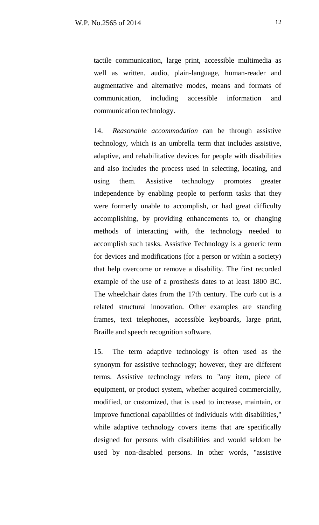tactile communication, large print, accessible multimedia as well as written, audio, plain-language, human-reader and augmentative and alternative modes, means and formats of communication, including accessible information and communication technology.

14. *Reasonable accommodation* can be through assistive technology, which is an [umbrella term](https://en.wikipedia.org/wiki/Umbrella_term) that includes assistive, adaptive, and rehabilitative devices for [people with disabilities](https://en.wikipedia.org/wiki/Disability) and also includes the process used in selecting, locating, and using them. Assistive technology promotes greater independence by enabling people to perform tasks that they were formerly unable to accomplish, or had great difficulty accomplishing, by providing enhancements to, or changing methods of interacting with, the [technology](https://en.wikipedia.org/wiki/Technology) needed to accomplish such tasks. [Assistive Technology](https://en.wikipedia.org/wiki/Assistive_Technology) is a generic term for devices and modifications (for a person or within a society) that help overcome or remove a disability. The first recorded example of the use of a [prosthesis](https://en.wikipedia.org/wiki/Prosthesis) dates to at least 1800 BC. The [wheelchair](https://en.wikipedia.org/wiki/Wheelchair) dates from the 17th century. The [curb cut](https://en.wikipedia.org/wiki/Curb_cut) is a related structural innovation. Other examples are [standing](https://en.wikipedia.org/wiki/Standing_frames)  [frames,](https://en.wikipedia.org/wiki/Standing_frames) text [telephones,](https://en.wikipedia.org/wiki/Telephones) accessible [keyboards,](https://en.wikipedia.org/wiki/Keyboard_(computing)) [large print,](https://en.wikipedia.org/wiki/Large_print) [Braille](https://en.wikipedia.org/wiki/Braille) and [speech recognition](https://en.wikipedia.org/wiki/Speech_recognition) [software.](https://en.wikipedia.org/wiki/Software)

15. The term adaptive technology is often used as the [synonym](https://en.wikipedia.org/wiki/Synonym) for assistive technology; however, they are different terms. Assistive technology refers to "any item, piece of equipment, or product system, whether acquired commercially, modified, or customized, that is used to increase, maintain, or improve functional capabilities of individuals with disabilities," while adaptive technology covers items that are specifically designed for persons with disabilities and would seldom be used by non-disabled persons. In other words, "assistive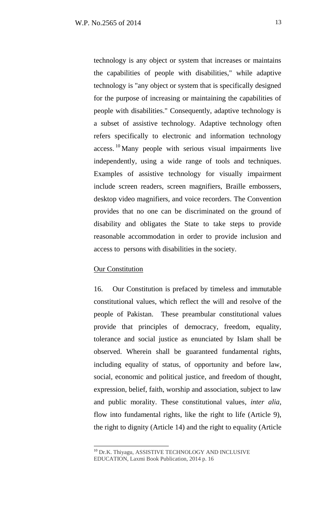technology is any object or system that increases or maintains the capabilities of people with disabilities," while adaptive technology is "any object or system that is specifically designed for the purpose of increasing or maintaining the capabilities of people with disabilities." Consequently, adaptive technology is a subset of assistive technology. Adaptive technology often refers specifically to electronic and information technology access.<sup>10</sup> Many people with serious visual impairments live independently, using a wide range of tools and techniques. Examples of assistive technology for visually impairment include screen readers, screen magnifiers, Braille embossers, desktop video magnifiers, and voice recorders. The Convention provides that no one can be discriminated on the ground of disability and obligates the State to take steps to provide reasonable accommodation in order to provide inclusion and access to persons with disabilities in the society.

### **Our Constitution**

 $\overline{a}$ 

16. Our Constitution is prefaced by timeless and immutable constitutional values, which reflect the will and resolve of the people of Pakistan. These preambular constitutional values provide that principles of democracy, freedom, equality, tolerance and social justice as enunciated by Islam shall be observed. Wherein shall be guaranteed fundamental rights, including equality of status, of opportunity and before law, social, economic and political justice, and freedom of thought, expression, belief, faith, worship and association, subject to law and public morality. These constitutional values, *inter alia*, flow into fundamental rights, like the right to life (Article 9), the right to dignity (Article 14) and the right to equality (Article

<sup>&</sup>lt;sup>10</sup> Dr.K. Thiyagu, ASSISTIVE TECHNOLOGY AND INCLUSIVE

EDUCATION, Laxmi Book Publication, 2014 p. 16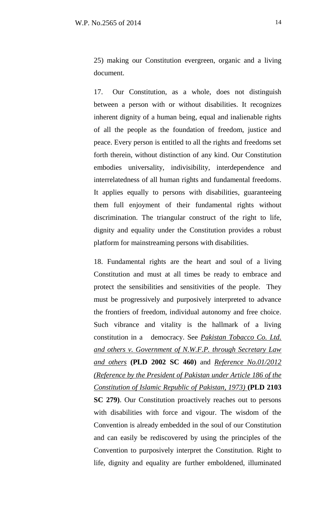25) making our Constitution evergreen, organic and a living document.

17. Our Constitution, as a whole, does not distinguish between a person with or without disabilities. It recognizes inherent dignity of a human being, equal and inalienable rights of all the people as the foundation of freedom, justice and peace. Every person is entitled to all the rights and freedoms set forth therein, without distinction of any kind. Our Constitution embodies universality, indivisibility, interdependence and interrelatedness of all human rights and fundamental freedoms. It applies equally to persons with disabilities, guaranteeing them full enjoyment of their fundamental rights without discrimination. The triangular construct of the right to life, dignity and equality under the Constitution provides a robust platform for mainstreaming persons with disabilities.

18. Fundamental rights are the heart and soul of a living Constitution and must at all times be ready to embrace and protect the sensibilities and sensitivities of the people. They must be progressively and purposively interpreted to advance the frontiers of freedom, individual autonomy and free choice. Such vibrance and vitality is the hallmark of a living constitution in a democracy. See *Pakistan Tobacco Co. Ltd. and others v. Government of N.W.F.P. through Secretary Law and others* **(PLD 2002 SC 460)** and *Reference No.01/2012 (Reference by the President of Pakistan under Article 186 of the Constitution of Islamic Republic of Pakistan, 1973)* **(PLD 2103 SC 279)**. Our Constitution proactively reaches out to persons with disabilities with force and vigour. The wisdom of the Convention is already embedded in the soul of our Constitution and can easily be rediscovered by using the principles of the Convention to purposively interpret the Constitution. Right to life, dignity and equality are further emboldened, illuminated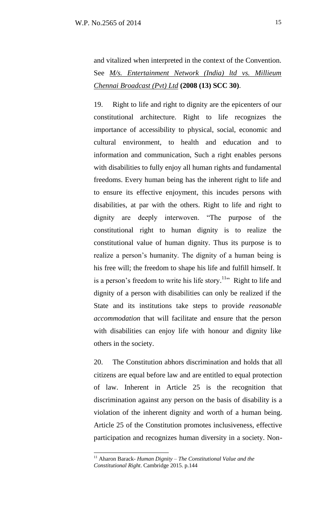and vitalized when interpreted in the context of the Convention. See *M/s. Entertainment Network (India) ltd vs. Millieum Chennai Broadcast (Pvt) Ltd* **(2008 (13) SCC 30)**.

19. Right to life and right to dignity are the epicenters of our constitutional architecture. Right to life recognizes the importance of accessibility to physical, social, economic and cultural environment, to health and education and to information and communication, Such a right enables persons with disabilities to fully enjoy all human rights and fundamental freedoms. Every human being has the inherent right to life and to ensure its effective enjoyment, this incudes persons with disabilities, at par with the others. Right to life and right to dignity are deeply interwoven. "The purpose of the constitutional right to human dignity is to realize the constitutional value of human dignity. Thus its purpose is to realize a person's humanity. The dignity of a human being is his free will; the freedom to shape his life and fulfill himself. It is a person's freedom to write his life story.<sup>11</sup><sup>21</sup> Right to life and dignity of a person with disabilities can only be realized if the State and its institutions take steps to provide *reasonable accommodation* that will facilitate and ensure that the person with disabilities can enjoy life with honour and dignity like others in the society.

20. The Constitution abhors discrimination and holds that all citizens are equal before law and are entitled to equal protection of law. Inherent in Article 25 is the recognition that discrimination against any person on the basis of disability is a violation of the inherent dignity and worth of a human being. Article 25 of the Constitution promotes inclusiveness, effective participation and recognizes human diversity in a society. Non-

<sup>11</sup> Aharon Barack- *Human Dignity – The Constitutional Value and the Constitutional Right*. Cambridge 2015. p.144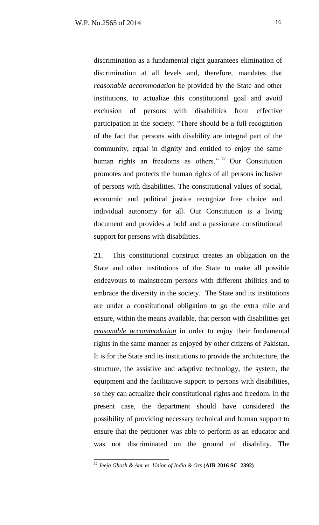discrimination as a fundamental right guarantees elimination of discrimination at all levels and, therefore, mandates that *reasonable accommodation* be provided by the State and other institutions, to actualize this constitutional goal and avoid exclusion of persons with disabilities from effective participation in the society. "There should be a full recognition of the fact that persons with disability are integral part of the community, equal in dignity and entitled to enjoy the same human rights an freedoms as others." <sup>12</sup> Our Constitution promotes and protects the human rights of all persons inclusive of persons with disabilities. The constitutional values of social, economic and political justice recognize free choice and individual autonomy for all. Our Constitution is a living document and provides a bold and a passionate constitutional support for persons with disabilities.

21. This constitutional construct creates an obligation on the State and other institutions of the State to make all possible endeavours to mainstream persons with different abilities and to embrace the diversity in the society. The State and its institutions are under a constitutional obligation to go the extra mile and ensure, within the means available, that person with disabilities get *reasonable accommodation* in order to enjoy their fundamental rights in the same manner as enjoyed by other citizens of Pakistan. It is for the State and its institutions to provide the architecture, the structure, the assistive and adaptive technology, the system, the equipment and the facilitative support to persons with disabilities, so they can actualize their constitutional rights and freedom. In the present case, the department should have considered the possibility of providing necessary technical and human support to ensure that the petitioner was able to perform as an educator and was not discriminated on the ground of disability. The

<sup>12</sup> *Jeeja Ghosh & Anr vs. Union of India & Ors* **(AIR 2016 SC 2392)**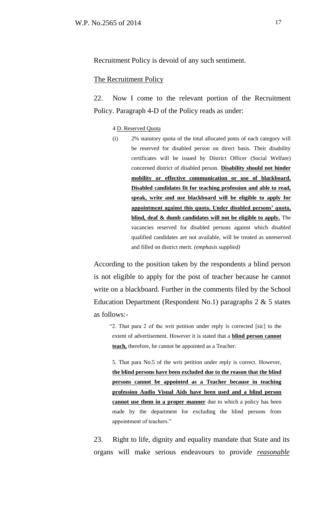Recruitment Policy is devoid of any such sentiment.

# The Recruitment Policy

22. Now I come to the relevant portion of the Recruitment Policy. Paragraph 4-D of the Policy reads as under:

#### 4 D. Reserved Quota

(i) 2% statutory quota of the total allocated posts of each category will be reserved for disabled person on direct basis. Their disability certificates will be issued by District Officer (Social Welfare) concerned district of disabled person. **Disability should not hinder mobility or effective communication or use of blackboard. Disabled candidates fit for teaching profession and able to read, speak, write and use blackboard will be eligible to apply for appointment against this quota. Under disabled persons' quota, blind, deaf & dumb candidates will not be eligible to apply.** The vacancies reserved for disabled persons against which disabled qualified candidates are not available, will be treated as unreserved and filled on district merit*. (emphasis supplied)* 

According to the position taken by the respondents a blind person is not eligible to apply for the post of teacher because he cannot write on a blackboard. Further in the comments filed by the School Education Department (Respondent No.1) paragraphs 2 & 5 states as follows:-

 "2. That para 2 of the writ petition under reply is corrected [sic] to the extent of advertisement. However it is stated that a **blind person cannot teach,** therefore, he cannot be appointed as a Teacher.

5. That para No.5 of the writ petition under reply is correct. However, **the blind persons have been excluded due to the reason that the blind persons cannot be appointed as a Teacher because in teaching profession Audio Visual Aids have been used and a blind person cannot use them in a proper manner** due to which a policy has been made by the department for excluding the blind persons from appointment of teachers."

23. Right to life, dignity and equality mandate that State and its organs will make serious endeavours to provide *reasonable*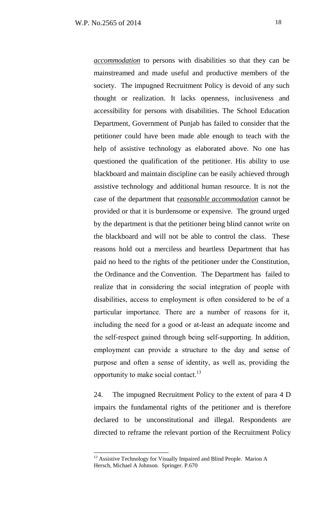*accommodation* to persons with disabilities so that they can be mainstreamed and made useful and productive members of the society. The impugned Recruitment Policy is devoid of any such thought or realization. It lacks openness, inclusiveness and accessibility for persons with disabilities. The School Education Department, Government of Punjab has failed to consider that the petitioner could have been made able enough to teach with the help of assistive technology as elaborated above. No one has questioned the qualification of the petitioner. His ability to use blackboard and maintain discipline can be easily achieved through assistive technology and additional human resource. It is not the case of the department that *reasonable accommodation* cannot be provided or that it is burdensome or expensive. The ground urged by the department is that the petitioner being blind cannot write on the blackboard and will not be able to control the class. These reasons hold out a merciless and heartless Department that has paid no heed to the rights of the petitioner under the Constitution, the Ordinance and the Convention. The Department has failed to realize that in considering the social integration of people with disabilities, access to employment is often considered to be of a particular importance. There are a number of reasons for it, including the need for a good or at-least an adequate income and the self-respect gained through being self-supporting. In addition, employment can provide a structure to the day and sense of purpose and often a sense of identity, as well as, providing the opportunity to make social contact.<sup>13</sup>

24. The impugned Recruitment Policy to the extent of para 4 D impairs the fundamental rights of the petitioner and is therefore declared to be unconstitutional and illegal. Respondents are directed to reframe the relevant portion of the Recruitment Policy

<sup>&</sup>lt;sup>13</sup> Assistive Technology for Visually Impaired and Blind People. Marion A Hersch, Michael A Johnson. Springer. P.670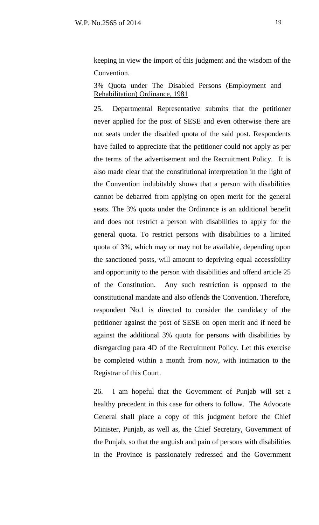keeping in view the import of this judgment and the wisdom of the Convention.

# 3% Quota under The Disabled Persons (Employment and Rehabilitation) Ordinance, 1981

25. Departmental Representative submits that the petitioner never applied for the post of SESE and even otherwise there are not seats under the disabled quota of the said post. Respondents have failed to appreciate that the petitioner could not apply as per the terms of the advertisement and the Recruitment Policy. It is also made clear that the constitutional interpretation in the light of the Convention indubitably shows that a person with disabilities cannot be debarred from applying on open merit for the general seats. The 3% quota under the Ordinance is an additional benefit and does not restrict a person with disabilities to apply for the general quota. To restrict persons with disabilities to a limited quota of 3%, which may or may not be available, depending upon the sanctioned posts, will amount to depriving equal accessibility and opportunity to the person with disabilities and offend article 25 of the Constitution. Any such restriction is opposed to the constitutional mandate and also offends the Convention. Therefore, respondent No.1 is directed to consider the candidacy of the petitioner against the post of SESE on open merit and if need be against the additional 3% quota for persons with disabilities by disregarding para 4D of the Recruitment Policy. Let this exercise be completed within a month from now, with intimation to the Registrar of this Court.

26. I am hopeful that the Government of Punjab will set a healthy precedent in this case for others to follow. The Advocate General shall place a copy of this judgment before the Chief Minister, Punjab, as well as, the Chief Secretary, Government of the Punjab, so that the anguish and pain of persons with disabilities in the Province is passionately redressed and the Government